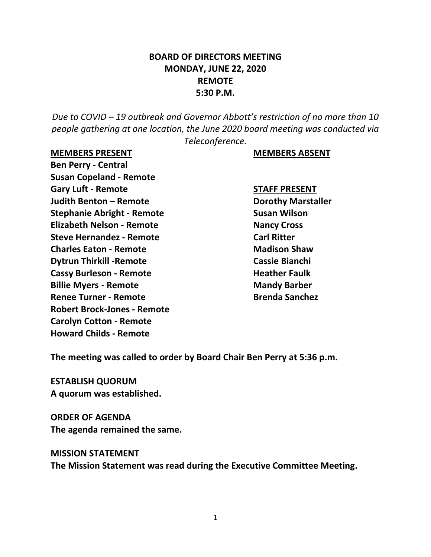# **BOARD OF DIRECTORS MEETING MONDAY, JUNE 22, 2020 REMOTE 5:30 P.M.**

*Due to COVID – 19 outbreak and Governor Abbott's restriction of no more than 10 people gathering at one location, the June 2020 board meeting was conducted via Teleconference.*

#### **MEMBERS PRESENT MEMBERS ABSENT**

**Ben Perry - Central Susan Copeland - Remote Gary Luft - Remote STAFF PRESENT Judith Benton – Remote Dorothy Marstaller Stephanie Abright - Remote Susan Wilson Elizabeth Nelson - Remote Nancy Cross Steve Hernandez - Remote Carl Ritter Charles Eaton - Remote Madison Shaw Dytrun Thirkill -Remote Cassie Bianchi Cassy Burleson - Remote Heather Faulk Billie Myers - Remote Mandy Barber Renee Turner - Remote Brenda Sanchez Robert Brock-Jones - Remote Carolyn Cotton - Remote Howard Childs - Remote**

**The meeting was called to order by Board Chair Ben Perry at 5:36 p.m.**

**ESTABLISH QUORUM A quorum was established.**

**ORDER OF AGENDA The agenda remained the same.**

#### **MISSION STATEMENT**

**The Mission Statement was read during the Executive Committee Meeting.**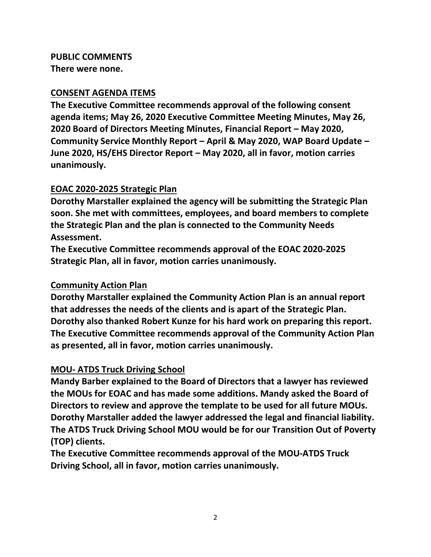# **PUBLIC COMMENTS**

**There were none.**

#### **CONSENT AGENDA ITEMS**

**The Executive Committee recommends approval of the following consent agenda items; May 26, 2020 Executive Committee Meeting Minutes, May 26, 2020 Board of Directors Meeting Minutes, Financial Report – May 2020, Community Service Monthly Report – April & May 2020, WAP Board Update – June 2020, HS/EHS Director Report – May 2020, all in favor, motion carries unanimously.**

# **EOAC 2020-2025 Strategic Plan**

**Dorothy Marstaller explained the agency will be submitting the Strategic Plan soon. She met with committees, employees, and board members to complete the Strategic Plan and the plan is connected to the Community Needs Assessment.** 

**The Executive Committee recommends approval of the EOAC 2020-2025 Strategic Plan, all in favor, motion carries unanimously.**

# **Community Action Plan**

**Dorothy Marstaller explained the Community Action Plan is an annual report that addresses the needs of the clients and is apart of the Strategic Plan. Dorothy also thanked Robert Kunze for his hard work on preparing this report. The Executive Committee recommends approval of the Community Action Plan as presented, all in favor, motion carries unanimously.**

# **MOU- ATDS Truck Driving School**

**Mandy Barber explained to the Board of Directors that a lawyer has reviewed the MOUs for EOAC and has made some additions. Mandy asked the Board of Directors to review and approve the template to be used for all future MOUs. Dorothy Marstaller added the lawyer addressed the legal and financial liability. The ATDS Truck Driving School MOU would be for our Transition Out of Poverty (TOP) clients.** 

**The Executive Committee recommends approval of the MOU-ATDS Truck Driving School, all in favor, motion carries unanimously.**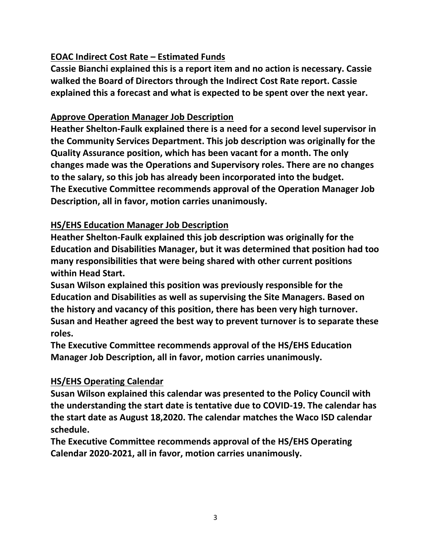# **EOAC Indirect Cost Rate – Estimated Funds**

**Cassie Bianchi explained this is a report item and no action is necessary. Cassie walked the Board of Directors through the Indirect Cost Rate report. Cassie explained this a forecast and what is expected to be spent over the next year.**

#### **Approve Operation Manager Job Description**

**Heather Shelton-Faulk explained there is a need for a second level supervisor in the Community Services Department. This job description was originally for the Quality Assurance position, which has been vacant for a month. The only changes made was the Operations and Supervisory roles. There are no changes to the salary, so this job has already been incorporated into the budget. The Executive Committee recommends approval of the Operation Manager Job Description, all in favor, motion carries unanimously.** 

# **HS/EHS Education Manager Job Description**

**Heather Shelton-Faulk explained this job description was originally for the Education and Disabilities Manager, but it was determined that position had too many responsibilities that were being shared with other current positions within Head Start.**

**Susan Wilson explained this position was previously responsible for the Education and Disabilities as well as supervising the Site Managers. Based on the history and vacancy of this position, there has been very high turnover. Susan and Heather agreed the best way to prevent turnover is to separate these roles.** 

**The Executive Committee recommends approval of the HS/EHS Education Manager Job Description, all in favor, motion carries unanimously.** 

# **HS/EHS Operating Calendar**

**Susan Wilson explained this calendar was presented to the Policy Council with the understanding the start date is tentative due to COVID-19. The calendar has the start date as August 18,2020. The calendar matches the Waco ISD calendar schedule.**

**The Executive Committee recommends approval of the HS/EHS Operating Calendar 2020-2021, all in favor, motion carries unanimously.**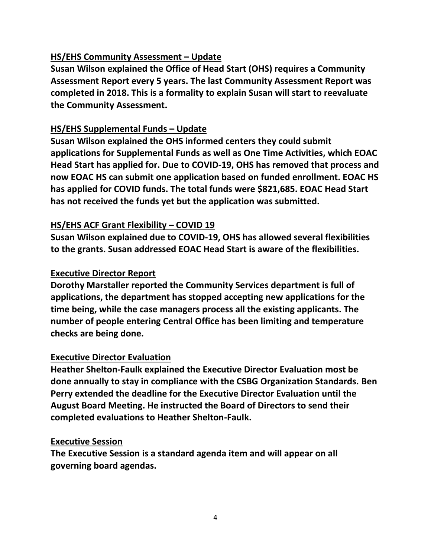#### **HS/EHS Community Assessment – Update**

**Susan Wilson explained the Office of Head Start (OHS) requires a Community Assessment Report every 5 years. The last Community Assessment Report was completed in 2018. This is a formality to explain Susan will start to reevaluate the Community Assessment.**

#### **HS/EHS Supplemental Funds – Update**

**Susan Wilson explained the OHS informed centers they could submit applications for Supplemental Funds as well as One Time Activities, which EOAC Head Start has applied for. Due to COVID-19, OHS has removed that process and now EOAC HS can submit one application based on funded enrollment. EOAC HS has applied for COVID funds. The total funds were \$821,685. EOAC Head Start has not received the funds yet but the application was submitted.** 

#### **HS/EHS ACF Grant Flexibility – COVID 19**

**Susan Wilson explained due to COVID-19, OHS has allowed several flexibilities to the grants. Susan addressed EOAC Head Start is aware of the flexibilities.** 

#### **Executive Director Report**

**Dorothy Marstaller reported the Community Services department is full of applications, the department has stopped accepting new applications for the time being, while the case managers process all the existing applicants. The number of people entering Central Office has been limiting and temperature checks are being done.** 

#### **Executive Director Evaluation**

**Heather Shelton-Faulk explained the Executive Director Evaluation most be done annually to stay in compliance with the CSBG Organization Standards. Ben Perry extended the deadline for the Executive Director Evaluation until the August Board Meeting. He instructed the Board of Directors to send their completed evaluations to Heather Shelton-Faulk.**

#### **Executive Session**

**The Executive Session is a standard agenda item and will appear on all governing board agendas.**